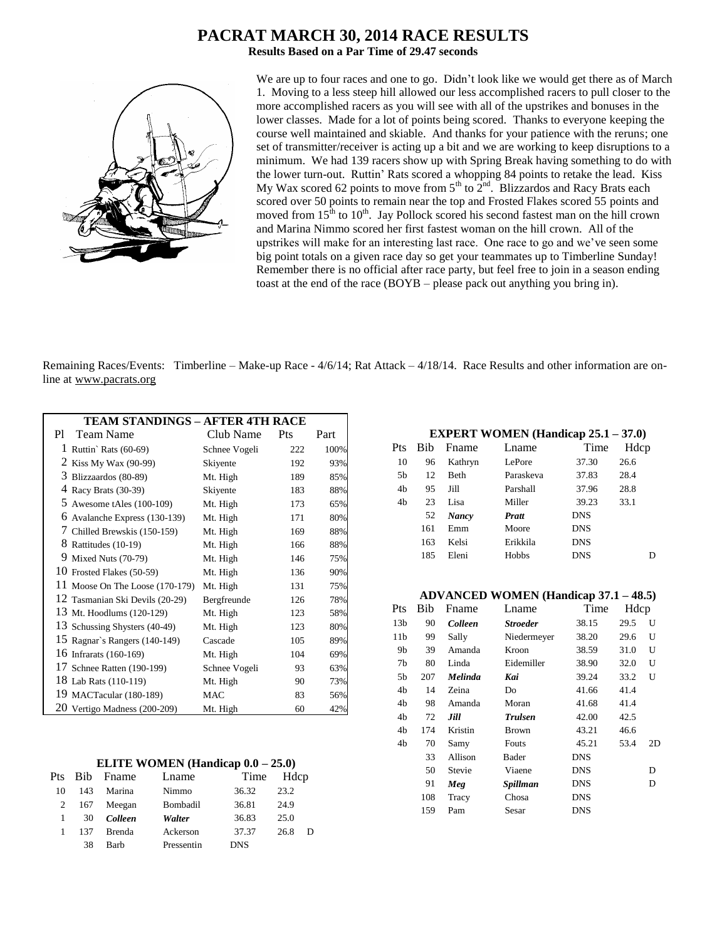## **PACRAT MARCH 30, 2014 RACE RESULTS**

**Results Based on a Par Time of 29.47 seconds**



We are up to four races and one to go. Didn't look like we would get there as of March 1. Moving to a less steep hill allowed our less accomplished racers to pull closer to the more accomplished racers as you will see with all of the upstrikes and bonuses in the lower classes. Made for a lot of points being scored. Thanks to everyone keeping the course well maintained and skiable. And thanks for your patience with the reruns; one set of transmitter/receiver is acting up a bit and we are working to keep disruptions to a minimum. We had 139 racers show up with Spring Break having something to do with the lower turn-out. Ruttin' Rats scored a whopping 84 points to retake the lead. Kiss My Wax scored 62 points to move from  $5<sup>th</sup>$  to  $2<sup>nd</sup>$ . Blizzardos and Racy Brats each scored over 50 points to remain near the top and Frosted Flakes scored 55 points and moved from  $15<sup>th</sup>$  to  $10<sup>th</sup>$ . Jay Pollock scored his second fastest man on the hill crown and Marina Nimmo scored her first fastest woman on the hill crown. All of the upstrikes will make for an interesting last race. One race to go and we've seen some big point totals on a given race day so get your teammates up to Timberline Sunday! Remember there is no official after race party, but feel free to join in a season ending toast at the end of the race (BOYB – please pack out anything you bring in).

Remaining Races/Events: Timberline – Make-up Race - 4/6/14; Rat Attack – 4/18/14. Race Results and other information are online at www.pacrats.org

| <b>TEAM STANDINGS - AFTER 4TH RACE</b> |               |     |      |
|----------------------------------------|---------------|-----|------|
| <b>Team Name</b><br>P1.                | Club Name     | Pts | Part |
| 1 Ruttin' Rats $(60-69)$               | Schnee Vogeli | 222 | 100% |
| 2 Kiss My Wax (90-99)                  | Skiyente      | 192 | 93%  |
| 3<br>Blizzaardos (80-89)               | Mt. High      | 189 | 85%  |
| 4 Racy Brats (30-39)                   | Skiyente      | 183 | 88%  |
| 5 Awesome tAles $(100-109)$            | Mt. High      | 173 | 65%  |
| 6<br>Avalanche Express (130-139)       | Mt. High      | 171 | 80%  |
| 7 Chilled Brewskis (150-159)           | Mt. High      | 169 | 88%  |
| 8 Rattitudes (10-19)                   | Mt. High      | 166 | 88%  |
| 9<br>Mixed Nuts (70-79)                | Mt. High      | 146 | 75%  |
| 10 Frosted Flakes (50-59)              | Mt. High      | 136 | 90%  |
| 11 Moose On The Loose (170-179)        | Mt. High      | 131 | 75%  |
| 12 Tasmanian Ski Devils (20-29)        | Bergfreunde   | 126 | 78%  |
| 13 Mt. Hoodlums (120-129)              | Mt. High      | 123 | 58%  |
| 13 Schussing Shysters (40-49)          | Mt. High      | 123 | 80%  |
| 15 Ragnar's Rangers (140-149)          | Cascade       | 105 | 89%  |
| 16 Infrarats (160-169)                 | Mt. High      | 104 | 69%  |
| 17 Schnee Ratten (190-199)             | Schnee Vogeli | 93  | 63%  |
| 18 Lab Rats (110-119)                  | Mt. High      | 90  | 73%  |
| 19 MACTacular (180-189)                | <b>MAC</b>    | 83  | 56%  |
| 20 Vertigo Madness (200-209)           | Mt. High      | 60  | 42%  |

#### **ELITE WOMEN (Handicap 0.0 – 25.0)**

| Pts |     | Bib Fname     | Lname      | Time       | Hdcp |   |
|-----|-----|---------------|------------|------------|------|---|
| 10  | 143 | Marina        | Nimmo      | 36.32      | 23.2 |   |
| 2   |     | 167 Meegan    | Bombadil   | 36.81      | 24.9 |   |
|     | 30  | Colleen       | Walter     | 36.83      | 25.0 |   |
|     | 137 | <b>Brenda</b> | Ackerson   | 37.37      | 26.8 | D |
|     | 38  | <b>Barb</b>   | Pressentin | <b>DNS</b> |      |   |

## **EXPERT WOMEN (Handicap 25.1 – 37.0)**

| Pts | Bib | Fname        | Lname     | Time       | Hdcp |
|-----|-----|--------------|-----------|------------|------|
| 10  | 96  | Kathryn      | LePore    | 37.30      | 26.6 |
| 5b  | 12  | <b>Beth</b>  | Paraskeva | 37.83      | 28.4 |
| 4b  | 95  | Jill         | Parshall  | 37.96      | 28.8 |
| 4b  | 23  | Lisa         | Miller    | 39.23      | 33.1 |
|     | 52  | <b>Nancy</b> | Pratt     | <b>DNS</b> |      |
|     | 161 | Emm          | Moore     | <b>DNS</b> |      |
|     | 163 | Kelsi        | Erikkila  | <b>DNS</b> |      |
|     | 185 | Eleni        | Hobbs     | <b>DNS</b> | D    |
|     |     |              |           |            |      |

#### **ADVANCED WOMEN (Handicap 37.1 – 48.5)**

| Pts             | Bib | Fname          | Lname           | Time       | Hdcp |    |
|-----------------|-----|----------------|-----------------|------------|------|----|
| 13 <sub>b</sub> | 90  | <b>Colleen</b> | <b>Stroeder</b> | 38.15      | 29.5 | U  |
| 11 <sub>b</sub> | 99  | Sally          | Niedermeyer     | 38.20      | 29.6 | U  |
| 9b              | 39  | Amanda         | Kroon           | 38.59      | 31.0 | U  |
| 7b              | 80  | Linda          | Eidemiller      | 38.90      | 32.0 | U  |
| 5b              | 207 | <b>Melinda</b> | Kai             | 39.24      | 33.2 | U  |
| 4b              | 14  | Zeina          | Do              | 41.66      | 41.4 |    |
| 4b              | 98  | Amanda         | Moran           | 41.68      | 41.4 |    |
| 4b              | 72  | Jill           | <b>Trulsen</b>  | 42.00      | 42.5 |    |
| 4b              | 174 | Kristin        | Brown           | 43.21      | 46.6 |    |
| 4b              | 70  | Samy           | Fouts           | 45.21      | 53.4 | 2D |
|                 | 33  | Allison        | Bader           | <b>DNS</b> |      |    |
|                 | 50  | Stevie         | Viaene          | <b>DNS</b> |      | D  |
|                 | 91  | Meg            | Spillman        | <b>DNS</b> |      | D  |
|                 | 108 | Tracy          | Chosa           | <b>DNS</b> |      |    |
|                 | 159 | Pam            | Sesar           | <b>DNS</b> |      |    |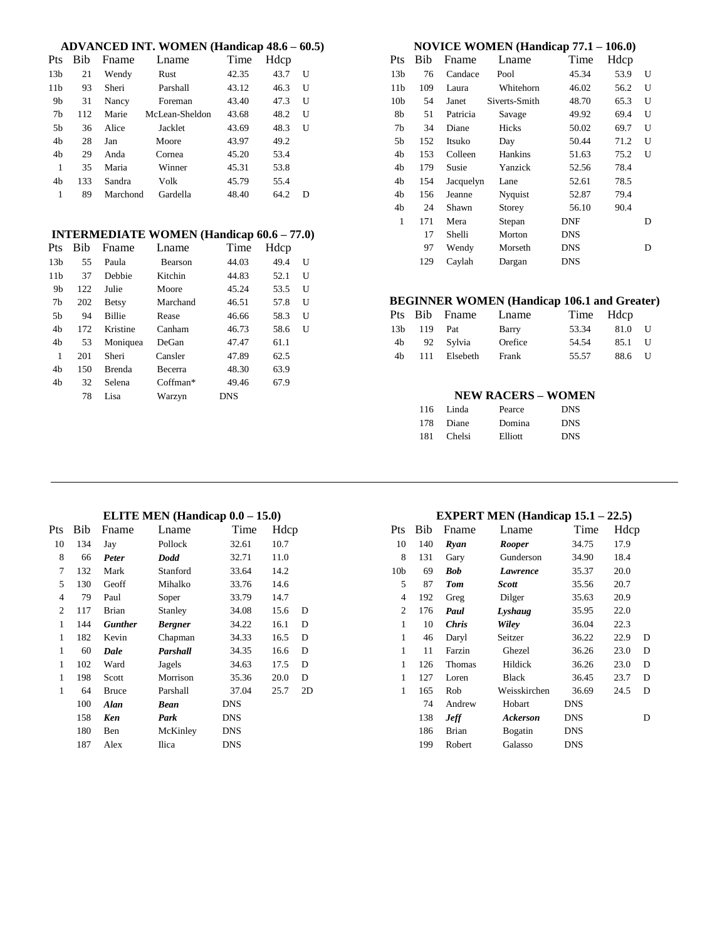| Pts             | Bib | Fname    | Lname          | Time  | Hdcp |   |  |
|-----------------|-----|----------|----------------|-------|------|---|--|
| 13 <sub>b</sub> | 21  | Wendy    | Rust           | 42.35 | 43.7 | U |  |
| 11 <sub>b</sub> | 93  | Sheri    | Parshall       | 43.12 | 46.3 | U |  |
| 9b              | 31  | Nancy    | Foreman        | 43.40 | 47.3 | U |  |
| 7b              | 112 | Marie    | McLean-Sheldon | 43.68 | 48.2 | U |  |
| 5b              | 36  | Alice    | Jacklet        | 43.69 | 48.3 | U |  |
| 4b              | 28  | Jan      | Moore          | 43.97 | 49.2 |   |  |
| 4 <sub>h</sub>  | 29  | Anda     | Cornea         | 45.20 | 53.4 |   |  |
| 1               | 35  | Maria    | Winner         | 45.31 | 53.8 |   |  |
| 4 <sub>h</sub>  | 133 | Sandra   | Volk           | 45.79 | 55.4 |   |  |
| 1               | 89  | Marchond | Gardella       | 48.40 | 64.2 | D |  |

### **INTERMEDIATE WOMEN (Handicap 60.6 – 77.0)**

| Pts             | Bib | Fname         | Lname          | Time       | Hdcp |   |
|-----------------|-----|---------------|----------------|------------|------|---|
| 13 <sub>b</sub> | 55  | Paula         | <b>Bearson</b> | 44.03      | 49.4 | U |
| 11 <sub>b</sub> | 37  | Debbie        | Kitchin        | 44.83      | 52.1 | U |
| 9b              | 122 | Julie         | Moore          | 45.24      | 53.5 | U |
| 7b              | 202 | <b>Betsy</b>  | Marchand       | 46.51      | 57.8 | U |
| 5b              | 94  | <b>Billie</b> | Rease          | 46.66      | 58.3 | U |
| 4b              | 172 | Kristine      | Canham         | 46.73      | 58.6 | U |
| 4b              | 53  | Moniquea      | DeGan          | 47.47      | 61.1 |   |
| 1               | 201 | Sheri         | Cansler        | 47.89      | 62.5 |   |
| 4b              | 150 | <b>Brenda</b> | <b>Becerra</b> | 48.30      | 63.9 |   |
| 4b              | 32  | Selena        | $C$ offman*    | 49.46      | 67.9 |   |
|                 | 78  | Lisa          | Warzyn         | <b>DNS</b> |      |   |

| NOVICE WOMEN (Handicap 77.1 – 106.0) |     |           |               |            |      |   |  |
|--------------------------------------|-----|-----------|---------------|------------|------|---|--|
| Pts                                  | Bib | Fname     | Lname         | Time       | Hdcp |   |  |
| 13 <sub>b</sub>                      | 76  | Candace   | Pool          | 45.34      | 53.9 | U |  |
| 11b                                  | 109 | Laura     | Whitehorn     | 46.02      | 56.2 | U |  |
| 10 <sub>b</sub>                      | 54  | Janet     | Siverts-Smith | 48.70      | 65.3 | U |  |
| 8b                                   | 51  | Patricia  | Savage        | 49.92      | 69.4 | U |  |
| 7b                                   | 34  | Diane     | <b>Hicks</b>  | 50.02      | 69.7 | U |  |
| 5b                                   | 152 | Itsuko    | Day           | 50.44      | 71.2 | U |  |
| 4 <sub>h</sub>                       | 153 | Colleen   | Hankins       | 51.63      | 75.2 | U |  |
| 4b                                   | 179 | Susie     | Yanzick       | 52.56      | 78.4 |   |  |
| 4b                                   | 154 | Jacquelyn | Lane          | 52.61      | 78.5 |   |  |
| 4b                                   | 156 | Jeanne    | Nyquist       | 52.87      | 79.4 |   |  |
| 4b                                   | 24  | Shawn     | Storey        | 56.10      | 90.4 |   |  |
| 1                                    | 171 | Mera      | Stepan        | <b>DNF</b> |      | D |  |
|                                      | 17  | Shelli    | Morton        | <b>DNS</b> |      |   |  |
|                                      | 97  | Wendy     | Morseth       | DNS        |      | D |  |
|                                      | 129 | Caylah    | Dargan        | <b>DNS</b> |      |   |  |

### **BEGINNER WOMEN (Handicap 106.1 and Greater)**

|    |             | Pts Bib Fname | Lname   | Time Hdcp |        |        |
|----|-------------|---------------|---------|-----------|--------|--------|
|    | 13b 119 Pat |               | Barry   | 53.34     | 81.0   | H      |
| 4b |             | 92 Svlvia     | Orefice | 54.54     | 85.1   | $\Box$ |
| 4b |             | 111 Elsebeth  | Frank   | 55.57     | 88.6 U |        |

#### **NEW RACERS – WOMEN**

|      | 116 Linda | Pearce  | <b>DNS</b> |
|------|-----------|---------|------------|
|      | 178 Diane | Domina  | <b>DNS</b> |
| 181. | Chelsi    | Elliott | <b>DNS</b> |

#### **ELITE MEN (Handicap 0.0 – 15.0)**

| Pts | Bib | Fname          | Lname          | Time       | Hdcp |    |
|-----|-----|----------------|----------------|------------|------|----|
| 10  | 134 | Jay            | Pollock        | 32.61      | 10.7 |    |
| 8   | 66  | Peter          | Dodd           | 32.71      | 11.0 |    |
| 7   | 132 | Mark           | Stanford       | 33.64      | 14.2 |    |
| 5   | 130 | Geoff          | Mihalko        | 33.76      | 14.6 |    |
| 4   | 79  | Paul           | Soper          | 33.79      | 14.7 |    |
| 2   | 117 | <b>Brian</b>   | Stanley        | 34.08      | 15.6 | D  |
| 1   | 144 | <b>Gunther</b> | <b>Bergner</b> | 34.22      | 16.1 | D  |
| 1   | 182 | Kevin          | Chapman        | 34.33      | 16.5 | D  |
| 1   | 60  | Dale           | Parshall       | 34.35      | 16.6 | D  |
| 1   | 102 | Ward           | Jagels         | 34.63      | 17.5 | D  |
| 1   | 198 | Scott          | Morrison       | 35.36      | 20.0 | D  |
| 1   | 64  | <b>Bruce</b>   | Parshall       | 37.04      | 25.7 | 2D |
|     | 100 | Alan           | <b>Bean</b>    | <b>DNS</b> |      |    |
|     | 158 | Ken            | Park           | <b>DNS</b> |      |    |
|     | 180 | Ben            | McKinley       | <b>DNS</b> |      |    |
|     | 187 | Alex           | Ilica          | <b>DNS</b> |      |    |

#### **EXPERT MEN (Handicap 15.1 – 22.5)**

| Pts             | Bib | Fname        | Lname         | Time       | Hdcp |   |
|-----------------|-----|--------------|---------------|------------|------|---|
| 10              | 140 | Ryan         | <b>Rooper</b> | 34.75      | 17.9 |   |
| 8               | 131 | Gary         | Gunderson     | 34.90      | 18.4 |   |
| 10 <sub>b</sub> | 69  | Bob          | Lawrence      | 35.37      | 20.0 |   |
| 5               | 87  | <b>Tom</b>   | Scott         | 35.56      | 20.7 |   |
| $\overline{4}$  | 192 | Greg         | Dilger        | 35.63      | 20.9 |   |
| 2               | 176 | Paul         | Lyshaug       | 35.95      | 22.0 |   |
| 1               | 10  | <b>Chris</b> | Wiley         | 36.04      | 22.3 |   |
| $\mathbf{1}$    | 46  | Daryl        | Seitzer       | 36.22      | 22.9 | D |
| 1               | 11  | Farzin       | Ghezel        | 36.26      | 23.0 | D |
| 1               | 126 | Thomas       | Hildick       | 36.26      | 23.0 | D |
| 1               | 127 | Loren        | <b>Black</b>  | 36.45      | 23.7 | D |
| $\mathbf{1}$    | 165 | Rob          | Weisskirchen  | 36.69      | 24.5 | D |
|                 | 74  | Andrew       | Hobart        | <b>DNS</b> |      |   |
|                 | 138 | <b>Jeff</b>  | Ackerson      | <b>DNS</b> |      | D |
|                 | 186 | <b>Brian</b> | Bogatin       | <b>DNS</b> |      |   |
|                 | 199 | Robert       | Galasso       | DNS        |      |   |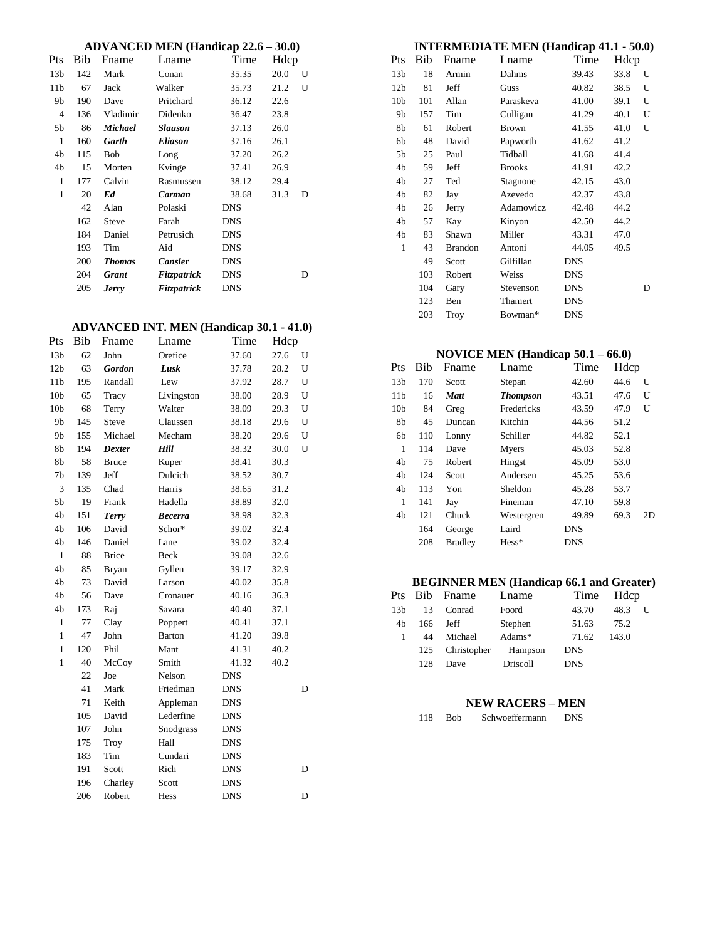#### **ADVANCED MEN (Handicap 22.6 – 30.0)**

|                 |     |                | $\frac{1}{111}$ |            |      |   |
|-----------------|-----|----------------|-----------------|------------|------|---|
| Pts             | Bib | Fname          | Lname           | Time       | Hdcp |   |
| 13 <sub>b</sub> | 142 | Mark           | Conan           | 35.35      | 20.0 | U |
| 11 <sub>b</sub> | 67  | Jack           | Walker          | 35.73      | 21.2 | U |
| 9b              | 190 | Dave           | Pritchard       | 36.12      | 22.6 |   |
| $\overline{4}$  | 136 | Vladimir       | Didenko         | 36.47      | 23.8 |   |
| 5b              | 86  | <b>Michael</b> | <b>Slauson</b>  | 37.13      | 26.0 |   |
| 1               | 160 | <b>Garth</b>   | <b>Eliason</b>  | 37.16      | 26.1 |   |
| 4b              | 115 | <b>Bob</b>     | Long            | 37.20      | 26.2 |   |
| 4b              | 15  | Morten         | Kvinge          | 37.41      | 26.9 |   |
| 1               | 177 | Calvin         | Rasmussen       | 38.12      | 29.4 |   |
| 1               | 20  | Ed             | Carman          | 38.68      | 31.3 | D |
|                 | 42  | Alan           | Polaski         | <b>DNS</b> |      |   |
|                 | 162 | <b>Steve</b>   | Farah           | <b>DNS</b> |      |   |
|                 | 184 | Daniel         | Petrusich       | <b>DNS</b> |      |   |
|                 | 193 | Tim            | Aid             | <b>DNS</b> |      |   |
|                 | 200 | <b>Thomas</b>  | Cansler         | <b>DNS</b> |      |   |
|                 | 204 | <b>Grant</b>   | Fitzpatrick     | <b>DNS</b> |      | D |
|                 | 205 | <b>Jerry</b>   | Fitzpatrick     | <b>DNS</b> |      |   |
|                 |     |                |                 |            |      |   |

### **ADVANCED INT. MEN (Handicap 30.1 - 41.0)**

| Pts             | Bib | Fname         | Lname          | Time       | Hdcp |   |
|-----------------|-----|---------------|----------------|------------|------|---|
| 13 <sub>b</sub> | 62  | John          | Orefice        | 37.60      | 27.6 | U |
| 12 <sub>b</sub> | 63  | <b>Gordon</b> | Lusk           | 37.78      | 28.2 | U |
| 11 <sub>b</sub> | 195 | Randall       | Lew            | 37.92      | 28.7 | U |
| 10 <sub>b</sub> | 65  | Tracy         | Livingston     | 38.00      | 28.9 | U |
| 10 <sub>b</sub> | 68  | Terry         | Walter         | 38.09      | 29.3 | U |
| 9b              | 145 | Steve         | Claussen       | 38.18      | 29.6 | U |
| 9b              | 155 | Michael       | Mecham         | 38.20      | 29.6 | U |
| 8b              | 194 | <b>Dexter</b> | Hill           | 38.32      | 30.0 | U |
| 8b              | 58  | <b>Bruce</b>  | Kuper          | 38.41      | 30.3 |   |
| 7b              | 139 | Jeff          | Dulcich        | 38.52      | 30.7 |   |
| 3               | 135 | Chad          | Harris         | 38.65      | 31.2 |   |
| 5 <sub>b</sub>  | 19  | Frank         | Hadella        | 38.89      | 32.0 |   |
| 4b              | 151 | <b>Terry</b>  | <b>Becerra</b> | 38.98      | 32.3 |   |
| 4b              | 106 | David         | Schor*         | 39.02      | 32.4 |   |
| 4b              | 146 | Daniel        | Lane           | 39.02      | 32.4 |   |
| $\mathbf{1}$    | 88  | <b>Brice</b>  | Beck           | 39.08      | 32.6 |   |
| 4b              | 85  | <b>Bryan</b>  | Gyllen         | 39.17      | 32.9 |   |
| 4b              | 73  | David         | Larson         | 40.02      | 35.8 |   |
| 4b              | 56  | Dave          | Cronauer       | 40.16      | 36.3 |   |
| 4b              | 173 | Raj           | Savara         | 40.40      | 37.1 |   |
| $\mathbf{1}$    | 77  | Clay          | Poppert        | 40.41      | 37.1 |   |
| $\mathbf{1}$    | 47  | John          | <b>Barton</b>  | 41.20      | 39.8 |   |
| $\mathbf{1}$    | 120 | Phil          | Mant           | 41.31      | 40.2 |   |
| $\mathbf{1}$    | 40  | McCoy         | Smith          | 41.32      | 40.2 |   |
|                 | 22  | Joe           | Nelson         | <b>DNS</b> |      |   |
|                 | 41  | Mark          | Friedman       | <b>DNS</b> |      | D |
|                 | 71  | Keith         | Appleman       | <b>DNS</b> |      |   |
|                 | 105 | David         | Lederfine      | <b>DNS</b> |      |   |
|                 | 107 | John          | Snodgrass      | <b>DNS</b> |      |   |
|                 | 175 | Troy          | Hall           | <b>DNS</b> |      |   |
|                 | 183 | Tim           | Cundari        | <b>DNS</b> |      |   |
|                 | 191 | Scott         | Rich           | <b>DNS</b> |      | D |
|                 | 196 | Charley       | Scott          | <b>DNS</b> |      |   |
|                 | 206 | Robert        | Hess           | <b>DNS</b> |      | D |

|                 |            |                | <b>INTERMEDIATE MEN (Handicap 41.1 - 50.0)</b> |            |      |   |
|-----------------|------------|----------------|------------------------------------------------|------------|------|---|
| Pts             | <b>Bib</b> | Fname          | Lname                                          | Time       | Hdcp |   |
| 13 <sub>b</sub> | 18         | Armin          | Dahms                                          | 39.43      | 33.8 | U |
| 12 <sub>b</sub> | 81         | Jeff           | Guss                                           | 40.82      | 38.5 | U |
| 10 <sub>b</sub> | 101        | Allan          | Paraskeva                                      | 41.00      | 39.1 | U |
| 9b              | 157        | Tim            | Culligan                                       | 41.29      | 40.1 | U |
| 8b              | 61         | Robert         | <b>Brown</b>                                   | 41.55      | 41.0 | U |
| 6b              | 48         | David          | Papworth                                       | 41.62      | 41.2 |   |
| 5b              | 25         | Paul           | Tidball                                        | 41.68      | 41.4 |   |
| 4b              | 59         | Jeff           | <b>Brooks</b>                                  | 41.91      | 42.2 |   |
| 4b              | 27         | Ted            | Stagnone                                       | 42.15      | 43.0 |   |
| 4b              | 82         | Jay            | Azevedo                                        | 42.37      | 43.8 |   |
| 4b              | 26         | Jerry          | Adamowicz                                      | 42.48      | 44.2 |   |
| 4b              | 57         | Kay            | Kinyon                                         | 42.50      | 44.2 |   |
| 4b              | 83         | Shawn          | Miller                                         | 43.31      | 47.0 |   |
| 1               | 43         | <b>Brandon</b> | Antoni                                         | 44.05      | 49.5 |   |
|                 | 49         | Scott          | Gilfillan                                      | <b>DNS</b> |      |   |
|                 | 103        | Robert         | Weiss                                          | <b>DNS</b> |      |   |
|                 | 104        | Gary           | Stevenson                                      | <b>DNS</b> |      | D |
|                 | 123        | <b>Ben</b>     | Thamert                                        | <b>DNS</b> |      |   |
|                 | 203        | Troy           | Bowman*                                        | <b>DNS</b> |      |   |

#### **NOVICE MEN (Handicap 50.1 – 66.0)**

| Pts             | Bib | Fname          | Lname           | Time       | Hdcp |    |
|-----------------|-----|----------------|-----------------|------------|------|----|
| 13 <sub>b</sub> | 170 | Scott          | Stepan          | 42.60      | 44.6 | U  |
| 11 <sub>b</sub> | 16  | Matt           | <b>Thompson</b> | 43.51      | 47.6 | U  |
| 10 <sub>b</sub> | 84  | Greg           | Fredericks      | 43.59      | 47.9 | U  |
| 8b              | 45  | Duncan         | Kitchin         | 44.56      | 51.2 |    |
| 6b              | 110 | Lonny          | Schiller        | 44.82      | 52.1 |    |
| 1               | 114 | Dave           | Myers           | 45.03      | 52.8 |    |
| 4b              | 75  | Robert         | Hingst          | 45.09      | 53.0 |    |
| 4b              | 124 | Scott          | Andersen        | 45.25      | 53.6 |    |
| 4b              | 113 | Yon            | Sheldon         | 45.28      | 53.7 |    |
| 1               | 141 | Jay            | Fineman         | 47.10      | 59.8 |    |
| 4b              | 121 | Chuck          | Westergren      | 49.89      | 69.3 | 2D |
|                 | 164 | George         | Laird           | <b>DNS</b> |      |    |
|                 | 208 | <b>Bradley</b> | $Hess*$         | <b>DNS</b> |      |    |

### **BEGINNER MEN (Handicap 66.1 and Greater)**

| <b>Pts</b> |     | Bib Fname   | Lname    | Time       | Hdcp  |  |
|------------|-----|-------------|----------|------------|-------|--|
| 13b        | 13  | Conrad      | Foord    | 43.70      | 48.3  |  |
| 4b         | 166 | Jeff        | Stephen  | 51.63      | 75.2  |  |
|            | 44  | Michael     | Adams*   | 71.62      | 143.0 |  |
|            | 125 | Christopher | Hampson  | <b>DNS</b> |       |  |
|            | 128 | Dave        | Driscoll | <b>DNS</b> |       |  |

#### **NEW RACERS – MEN**

| 118 | <b>Bob</b> | Schwoeffermann | DNS |
|-----|------------|----------------|-----|
|     |            |                |     |